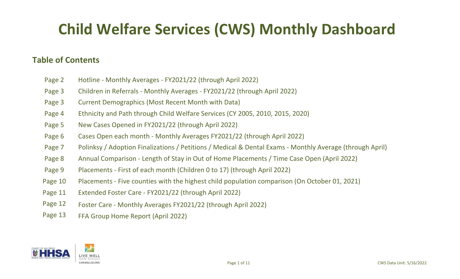# **Child Welfare Services (CWS) Monthly Dashboard**

### **Table of Contents**

- Page 2 Hotline Monthly Averages FY2021/22 (through April 2022)
- Page 3 Children in Referrals Monthly Averages FY2021/22 (through April 2022)
- Page 3 Current Demographics (Most Recent Month with Data)
- Page 4 Ethnicity and Path through Child Welfare Services (CY 2005, 2010, 2015, 2020)
- Page 5 New Cases Opened in FY2021/22 (through April 2022)
- Page 6 Cases Open each month Monthly Averages FY2021/22 (through April 2022)
- Page 7 Polinksy / Adoption Finalizations / Petitions / Medical & Dental Exams Monthly Average (through April)
- Page 8 Annual Comparison Length of Stay in Out of Home Placements / Time Case Open (April 2022)
- Page 9 Placements First of each month (Children 0 to 17) (through April 2022)
- Page 10 Placements Five counties with the highest child population comparison (On October 01, 2021)
- Page 11 Extended Foster Care FY2021/22 (through April 2022)
- Page 12 Foster Care Monthly Averages FY2021/22 (through April 2022)
- Page 13 FFA Group Home Report (April 2022)

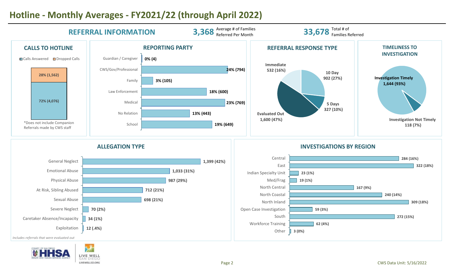

# **Hotline - Monthly Averages - FY2021/22 (through April 2022)**

**UHHSA** LIVE WELL SAN DIEGC LIVEWELLSD.ORG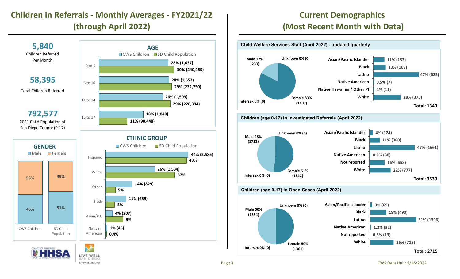## **Children in Referrals - Monthly Averages - FY2021/22 (through April 2022)**



# **UHHSA**



**Current Demographics (Most Recent Month with Data)**





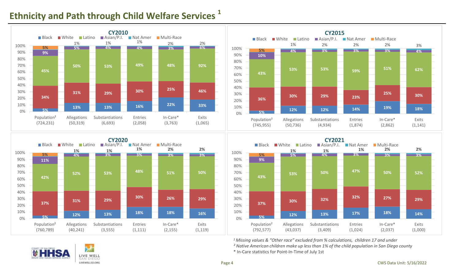## **Ethnicity and Path through Child Welfare Services 1**









*1 Missing values & "Other race" excluded from % calculations, children 17 and under*

*² Native American children make up less than 1% of the child population in San Diego county*

\* In-Care statistics for Point-In-Time of July 1st

![](_page_3_Picture_8.jpeg)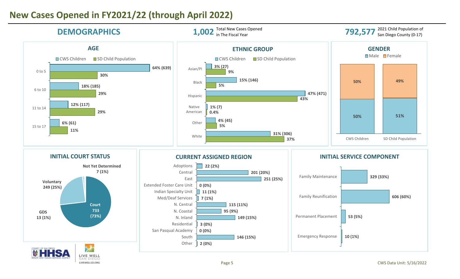## **New Cases Opened in FY2021/22 (through April 2022)**

![](_page_4_Figure_1.jpeg)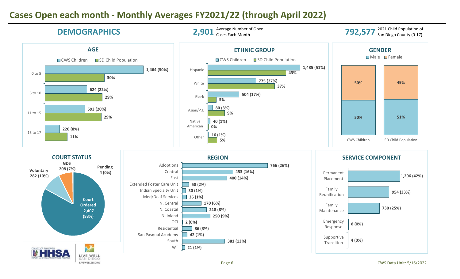## **Cases Open each month - Monthly Averages FY2021/22 (through April 2022)**

![](_page_5_Figure_1.jpeg)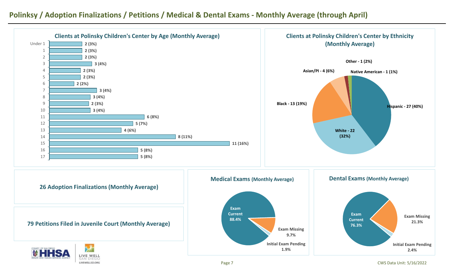### **Polinksy / Adoption Finalizations / Petitions / Medical & Dental Exams - Monthly Average (through April)**

![](_page_6_Figure_1.jpeg)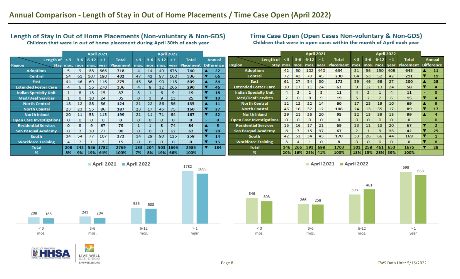#### Length of Stay in Out of Home Placements (Non-voluntary & Non-GDS) Children that were in out of home placement during April 30th of each year

#### Time Case Open (Open Cases Non-voluntary & Non-GDS)

Children that were in open cases within the month of April each year

|                                 | <b>April 2021</b> |          |                  |                |                                    |              | <b>April 2022</b> |         |                     |              |  |                   |                                 |              |         | <b>April 2021</b> |          |                                                                  |          |     | <b>April 2022</b> |          |              |  |                   |  |
|---------------------------------|-------------------|----------|------------------|----------------|------------------------------------|--------------|-------------------|---------|---------------------|--------------|--|-------------------|---------------------------------|--------------|---------|-------------------|----------|------------------------------------------------------------------|----------|-----|-------------------|----------|--------------|--|-------------------|--|
| Length of                       | $\leq$ 3          |          | $3-6$ $6-12 > 1$ |                | <b>Total</b>                       | $\leq 3$     | $3-6$ 6-12 > 1    |         |                     | <b>Total</b> |  | <b>Annual</b>     | Length of $\leq$ 3              |              |         | $3-6$ 6-12 > 1    |          | <b>Total</b>                                                     | $\leq$ 3 |     | $3-6$ $6-12 > 1$  |          | <b>Total</b> |  | <b>Annual</b>     |  |
| <b>Region</b>                   |                   |          |                  |                | Stay mos. mos. mos. year Placement |              |                   |         | mos. mos. mos. year | Placement    |  | <b>Difference</b> | <b>Region</b>                   |              |         |                   |          | Stay mos. mos. mos. year Placement mos. mos. mos. year Placement |          |     |                   |          |              |  | <b>Difference</b> |  |
| <b>Adoptions</b>                | 5.                | 9.       | 38               | 666            | 718                                |              | 14                | 49      | 673                 | 740          |  | 22                | <b>Adoptions</b>                | 42           | 50      | 102               | 440      | 634                                                              | 31       | 56  | 150               | 408      | 645          |  | 11                |  |
| Central                         | 54                | 61       | 107              | 180            | 402                                | 47           | 42                | 87      | 160                 | 336          |  | 66                | <b>Central</b>                  | 72           | 43      | 70                | 45       | 230                                                              | 64       | 53  | 52                | 42       | 211          |  | 19                |  |
| East                            | 44                | 46       | 69               | 116            | 275                                | 45           | 56                | 90      | 118                 | 309          |  | 34                | East                            | 61           | 27      | 54                | 30       | 172                                                              | 59       | 46  | 68                | 27       | 200          |  | 28                |  |
| <b>Extended Foster Care</b>     | 4                 | 6        | 56               | 270            | 336                                |              | 8                 | 12      | 266                 | 290          |  | 46                | <b>Extended Foster Care</b>     | 10           | 17      | 11                | 24       | 62                                                               | 9        | 12  | 13                | 24       | 58           |  |                   |  |
| <b>Indian Specialty Unit</b>    |                   | 8        | 13               | 15             | 37                                 | $3^{\circ}$  |                   | 6       | 9                   | 19           |  | 18                | <b>Indian Specialty Unit</b>    |              |         |                   |          | 11                                                               |          |     |                   |          | 11           |  |                   |  |
| <b>Med/Deaf Services</b>        |                   | $\Omega$ | 10               | 24             | 35                                 | $\circ$      | 3.                | 9.      | 13                  | 25           |  | 10                | <b>Med/Deaf Services</b>        | $\mathbf{2}$ | $\circ$ | 8                 | 9        | 19                                                               | 5        |     |                   |          | 15           |  |                   |  |
| <b>North Central</b>            | 18                | 12       | 38               | 56             | 124                                | 21           | 22                | 36      | 56                  | 135          |  | 11                | <b>North Central</b>            | 12           | 12      | 22                | 14       | 60                                                               | 17       | 23  | 19                | 10       | 69           |  |                   |  |
| <b>North Coastal</b>            | 23                | 23       | 55               | 86             | 187                                | 23           | 17                | 45      | 75                  | 160          |  | 27                | <b>North Coastal</b>            | 46           | 16      | 32                |          | 106                                                              | 24       | 13  | 35                | 17       | 89           |  | 17                |  |
| <b>North Inland</b>             | 20                | 11       | 53               | 115            | 199                                | 21           | 11                | 71      | 64                  | 167          |  | 32                | <b>North Inland</b>             | 29           | 21      | 25                | 20       | 95                                                               | 32       | 13  | 39                | 15       | 99           |  |                   |  |
| <b>Open Case Investigations</b> | $\Omega$          | $\Omega$ | $\circ$          |                | 0                                  | $\mathbf{O}$ | $\circ$           | $\circ$ | 0                   | $\mathbf{0}$ |  | $\Omega$          | <b>Open Case Investigations</b> | $\Omega$     | $\circ$ | $\circ$           |          | $\mathbf{0}$                                                     | $\circ$  |     |                   |          | $\bf{0}$     |  | $\Omega$          |  |
| <b>Residential Services</b>     | $\Omega$          | з.       | 9                | 67             | 79                                 |              |                   | 8.      | 74                  | 84           |  |                   | <b>Residential Services</b>     | 15           | 16      | 17                | 21       | 69                                                               | 23       | 11  | 13                | 20       | 67           |  |                   |  |
| <b>San Pasqual Academy</b>      | $\Omega$          | з.       | 10 <sup>°</sup>  | 77             | 90                                 | $\mathbf{O}$ | $\Omega$          | 0       | 62                  | 62           |  | 28                | <b>San Pasqual Academy</b>      | 8            | -       | 15                | 37       | 67                                                               |          |     | 3                 | 36       | 42           |  | 25                |  |
| South                           | 34                | 54       | 77               | 107            | 272                                | 14           | 29                | 90      | 125                 | 258          |  | 14                | <b>South</b>                    | 42           | 51      | 34                | 43       | 170                                                              | 33       | 26  | 66                | 44       | 169          |  |                   |  |
| <b>Workforce Training</b>       | $\overline{4}$    |          |                  |                | 15                                 | $\circ$      | $\Omega$          | 0       |                     | 0            |  | 15                | <b>Workforce Training</b>       | $\mathbf{3}$ |         |                   | $\Omega$ | 8                                                                | $\circ$  |     | $\Omega$          | $\Omega$ | $\bf{0}$     |  | я                 |  |
| <b>Total</b>                    | 208               |          |                  | 243 536 1782   | 2769                               | 183          |                   |         | 204 503 1695        | 2585         |  | 184               | <b>Total</b>                    | 346          | 266     | 393               | 698      | 1703                                                             | 303      | 258 | 461               | 653      | 1675         |  | 28                |  |
| %                               | 8%                |          |                  | 9%   19%   64% | 100%                               | 7%           |                   |         | 8%   19%   66%      | 100%         |  |                   | %                               | 20%          |         | 16% 23% 41%       |          | 100%                                                             | 18%      |     | 15% 28% 39%       |          | 100%         |  |                   |  |

![](_page_7_Figure_5.jpeg)

![](_page_7_Figure_6.jpeg)

![](_page_7_Picture_7.jpeg)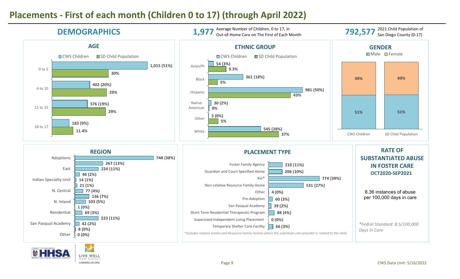## **Placements - First of each month (Children 0 to 17) (through April 2022)**

LIVE WELL SAN DIEGC LIVEWELLSD.ORG

![](_page_8_Figure_1.jpeg)

#### Page 9 CWS Data Unit: 5/16/2022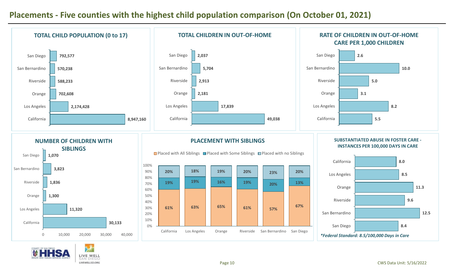### **Placements - Five counties with the highest child population comparison (On October 01, 2021)**

![](_page_9_Figure_1.jpeg)

SAN DIEGC LIVEWELLSD.ORG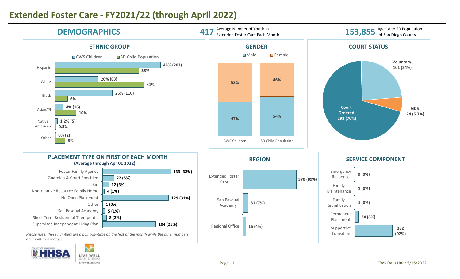## **Extended Foster Care - FY2021/22 (through April 2022)**

LIVE WELL SAN DIEGO LIVEWELLSD.ORG

![](_page_10_Figure_1.jpeg)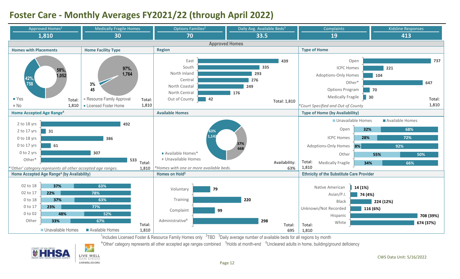## **Foster Care - Monthly Averages FY2021/22 (through April 2022)**

![](_page_11_Figure_1.jpeg)

<sup>1</sup>Includes Licensed Foster & Resource Family Homes only  $27BD$   $3$ Daily average number of available beds for all regions by month

<sup>4</sup>'Other' category represents all other accepted age ranges combined <sup>5</sup>Holds at month-end <sup>6</sup>Uncleared adults in home, building/ground deficiency

![](_page_11_Picture_4.jpeg)